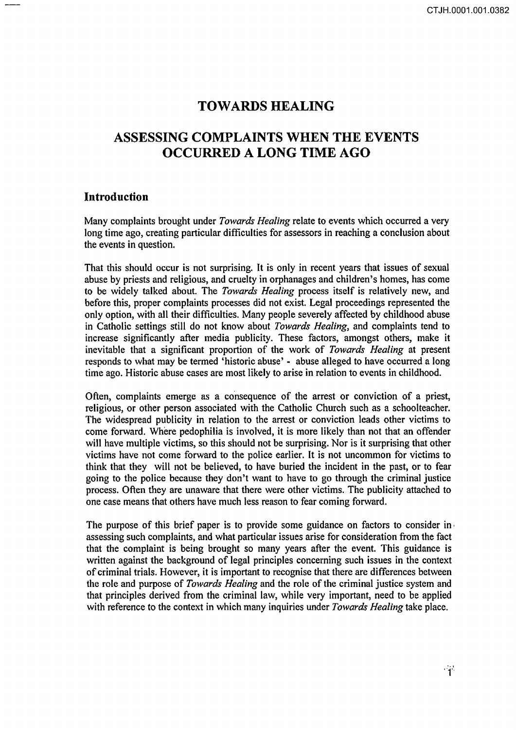# **TOWARDS HEALING**

# **ASSESSING COMPLAINTS WHEN THE EVENTS OCCURRED A LONG TIME AGO**

## **Introduction**

Many complaints brought under *Towards Healing* relate to events which occurred a very long time ago, creating particular difficulties for assessors in reaching a conclusion about the events in question.

That this should occur is not surprising. It is only in recent years that issues of sexual abuse by priests and religious, and cruelty in orphanages and children's homes, has come to be widely talked about. The *Towards Healing* process itself is relatively new, and before this, proper complaints processes did not exist. Legal proceedings represented the only option, with all their difficulties. Many people severely affected by childhood abuse in Catholic settings still do not know about *Towards Healing,* and complaints tend to increase significantly after media publicity. These factors, amongst others, make it inevitable that a significant proportion of the work of *Towards Healing* at present responds to what may be termed 'historic abuse' - abuse alleged to have occurred a long time ago. Historic abuse cases are most likely to arise in relation to events in childhood.

Often, complaints emerge as a consequence of the arrest or conviction of a priest, religious, or other person associated with the Catholic Church such as a schoolteacher. The widespread publicity in relation to the arrest or conviction leads other victims to come forward. Where pedophilia is involved, it is more likely than not that an offender will have multiple victims, so this should not be surprising. Nor is it surprising that other victims have not come forward to the police earlier. It is not uncommon for victims to think that they will not be believed, to have buried the incident in the past, or to fear going to the police because they don't want to have to go through the criminal justice process. Often they are unaware that there were other victims. The publicity attached to one case means that others have much less reason to fear coming forward.

The purpose of this brief paper is to provide some guidance on factors to consider in ' assessing such complaints, and what particular issues arise for consideration from the fact that the complaint is being brought so many years after the event. This guidance is written against the background of legal principles concerning such issues in the context of criminal trials. However, it is important to recognise that there are differences between the role and purpose of *Towards Healing* and the role of the criminal justice system and that principles derived from the criminal law, while very important, need to be applied with reference to the context in which many inquiries under *Towards Healing* take place.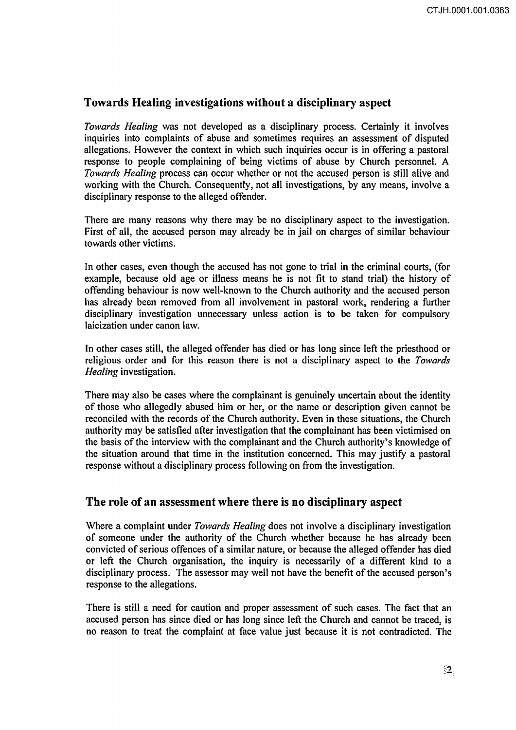# Towards Healing investigations without a disciplinary aspect

*Towards Healing* was not developed as a disciplinary process. Certainly it involves inquiries into complaints of abuse and sometimes requires an assessment of disputed allegations. However the context in which such inquiries occur is in offering a pastoral response to people complaining of being victims of abuse by Church personnel. A *Towards Healing* process can occur whether or not the accused person is still alive and working with the Church. Consequently, not all investigations, by any means, involve a disciplinary response to the alleged offender.

There are many reasons why there may be no disciplinary aspect to the investigation. First of all, the accused person may already be in jail on charges of similar behaviour towards other victims.

In other cases, even though the accused has not gone to trial in the criminal courts, (for example, because old age or illness means he is not fit to stand trial) the history of offending behaviour is now well-known to the Church authority and the accused person has already been removed from all involvement in pastoral work, rendering a further disciplinary investigation unnecessary unless action is to be taken for compulsory laicization under canon law.

In other cases still, the alleged offender has died or has long since left the priesthood or religious order and for this reason there is not a disciplinary aspect to the *Towards Healing* investigation.

There may also be cases where the complainant is genuinely uncertain about the identity of those who allegedly abused him or her, or the name or description given cannot be reconciled with the records of the Church authority. Even in these situations, the Church authority may be satisfied after investigation that the complainant has been victimised on the basis of the interview with the complainant and the Church authority's knowledge of the situation around that time in the institution concerned. This may justify a pastoral response without a disciplinary process following on from the investigation.

# The role of an assessment where there is no disciplinary aspect

Where a complaint under *Towards Healing* does not involve a disciplinary investigation of someone under the authority of the Church whether because he has already been convicted of serious offences of a similar nature, or because the alleged offender has died or left the Church organisation, the inquiry is necessarily of a different kind to a disciplinary process. The assessor may well not have the benefit of the accused person's response to the allegations.

There is still a need for caution and proper assessment of such cases. The fact that an accused person has since died or has long since left the Church and cannot be traced, is no reason to treat the complaint at face value just because it is not contradicted. The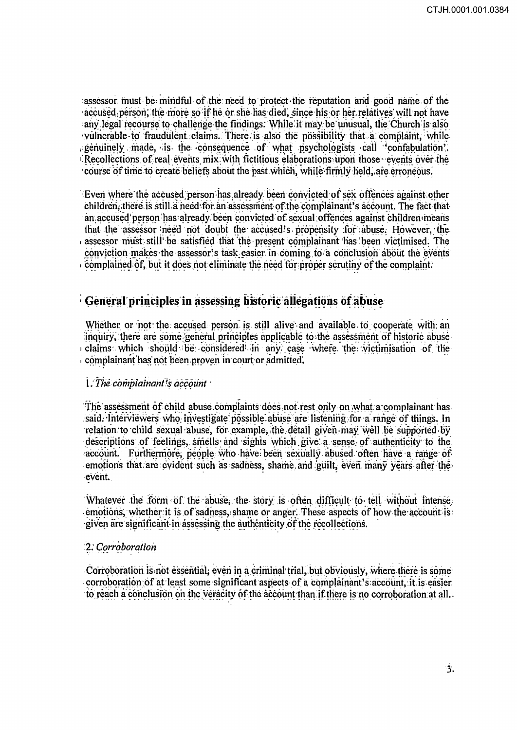assessor must be mindful of the need to protect the reputation and good name of the accused person, the more so if he or she has died, since his or her relatives will not have any legal recourse to challenge the findings. While it may be unusual, the Church is also vulnerable to fraudulent claims. There is also the possibility that a complaint, while genuinely made, is the consequence of what psychologists call confabulation. Recollections of real events mix with fictitious elaborations upon those events over the course of time to create beliefs about the past which, while firmly held, are erroneous.

Even where the accused person has already been convicted of sex offences against other children, there is still a need for an assessment of the complainant's account. The fact that an accused person has already been convicted of sexual offences against children means that the assessor need not doubt the accused's propensity for abuse. However, the assessor must still be satisfied that the present complainant has been victimised. The conviction makes the assessor's task easier in coming to a conclusion about the events complained of, but it does not eliminate the need for proper scrutiny of the complaint.

# General principles in assessing historic allegations of abuse

Whether or not the accused person is still alive and available to cooperate with an inquiry, there are some general principles applicable to the assessment of historic abuse. claims which should be considered in any case where the victimisation of the complainant has not been proven in court or admitted,

## 1. The complainant's account

The assessment of child abuse complaints does not rest only on what a complainant has. said. Interviewers who investigate possible abuse are listening for a range of things. In relation to child sexual abuse, for example, the detail given may well be supported by descriptions of feelings, smells and sights which give a sense of authenticity to the account. Furthermore, people who have been sexually abused often have a range of emotions that are evident such as sadness, shame and guilt, even many years after the event.

Whatever the form of the abuse, the story is often difficult to tell without intense emotions, whether it is of sadness, shame or anger. These aspects of how the account is given are significant in assessing the authenticity of the recollections.

#### 2. Corroboration

Corroboration is not essential, even in a criminal trial, but obviously, where there is some corroboration of at least some significant aspects of a complainant's account, it is easier to reach a conclusion on the veracity of the account than if there is no corroboration at all.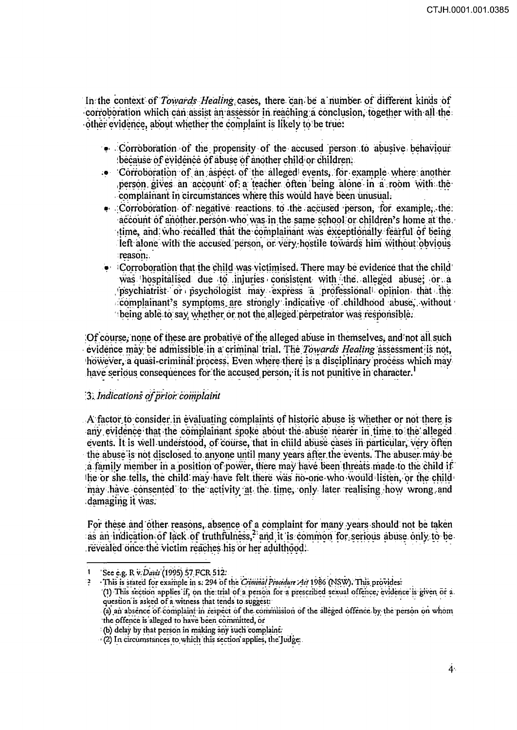In the context of Towards Healing cases, there can be a number of different kinds of corroboration which can assist an assessor in reaching a conclusion, together with all the other evidence, about whether the complaint is likely to be true:

- $\bullet$  Corroboration of the propensity of the accused person to abusive behaviour because of evidence of abuse of another child or children.
- ... Corroboration of an aspect of the alleged events, for example where another person gives an account of a teacher often being alone in a room with the complainant in circumstances where this would have been unusual.
- $\bullet$  Corroboration of negative reactions to the accused person, for example, the account of another person who was in the same school or children's home at the time, and who recalled that the complainant was exceptionally fearful of being left alone with the accused person, or very hostile towards him without obvious reason:
- $\bullet$  Corroboration that the child was victimised. There may be evidence that the child was hospitalised due to injuries consistent with the alleged abuse; or a psychiatrist or psychologist may express a professional opinion that the complainant's symptoms are strongly indicative of childhood abuse, without being able to say whether or not the alleged perpetrator was responsible.

Of course, none of these are probative of the alleged abuse in themselves, and not all such evidence may be admissible in a criminal trial. The Towards Healing assessment is not. however, a quasi-criminal process. Even where there is a disciplinary process which may have serious consequences for the accused person, it is not punitive in character.<sup>1</sup>

## 3. Indications of prior complaint

A factor to consider in evaluating complaints of historic abuse is whether or not there is any evidence that the complainant spoke about the abuse nearer in time to the alleged events. It is well understood, of course, that in child abuse cases in particular, very often the abuse is not disclosed to anyone until many years after the events. The abuser may be a family member in a position of power, there may have been threats made to the child if the or she tells, the child may have felt there was no-one who would listen, or the child may have consented to the activity at the time, only later realising how wrong and damaging it was.

For these and other reasons, absence of a complaint for many years should not be taken as an indication of lack of truthfulness,<sup>2</sup> and it is common for serious abuse only to be revealed once the victim reaches his or her adulthood.

This is stated for example in s. 294 of the Criminal Procedure Act 1986 (NSW). This provides: (1) This section applies if, on the trial of a person for a prescribed sexual offence, evidence is given or a. question is asked of a witness that tends to suggest.

(a) an absence of complaint in respect of the commission of the alleged offence by the person on whom the offence is alleged to have been committed, or

See e.g. R v. Davis (1995) 57 FCR 512.

<sup>(</sup>b) delay by that person in making any such complaint.

<sup>(2)</sup> In circumstances to which this section applies, the Judge.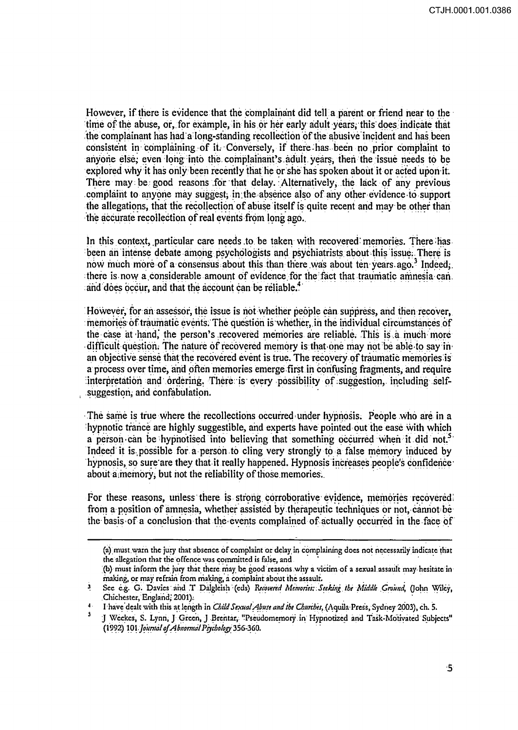However, if there is evidence that the complainant did tell a parent or friend near to the time of the abuse, or, for example, in his or her early adult years, this does indicate that the complainant has had a long-standing recollection of the abusive incident and has been consistent in complaining of it. Conversely, if there has been no prior complaint to anyone else, even long into the complainant's adult years, then the issue needs to be explored why it has only been recently that he or she has spoken about it or acted upon it. There may be good reasons for that delay. Alternatively, the lack of any previous complaint to anyone may suggest, in the absence also of any other evidence to support the allegations, that the recollection of abuse itself is quite recent and may be other than the accurate recollection of real events from long ago.

In this context, particular care needs to be taken with recovered memories. There has been an intense debate among psychologists and psychiatrists about this issue. There is now much more of a consensus about this than there was about ten years ago.<sup>3</sup> Indeed, there is now a considerable amount of evidence for the fact that traumatic amnesia can. and does occur, and that the account can be reliable.<sup>4</sup>

However, for an assessor, the issue is not whether people can suppress, and then recover, memories of traumatic events. The question is whether, in the individual circumstances of the case at hand, the person's recovered memories are reliable. This is a much more difficult question. The nature of recovered memory is that one may not be able to say in an objective sense that the recovered event is true. The recovery of traumatic memories is a process over time, and often memories emerge first in confusing fragments, and require interpretation and ordering. There is every possibility of suggestion, including selfsuggestion, and confabulation.

The same is true where the recollections occurred under hypnosis. People who are in a hypnotic trance are highly suggestible, and experts have pointed out the ease with which a person can be hypnotised into believing that something occurred when it did not. Indeed it is possible for a person to cling very strongly to a false memory induced by hypnosis, so sure are they that it really happened. Hypnosis increases people's confidence about a memory, but not the reliability of those memories.

For these reasons, unless there is strong corroborative evidence, memories recovered from a position of amnesia, whether assisted by the rapeutic techniques or not, cannot be the basis of a conclusion that the events complained of actually occurred in the face of

<sup>(</sup>a) must warn the jury that absence of complaint or delay in complaining does not necessarily indicate that the allegation that the offence was committed is false, and

<sup>(</sup>b) must inform the jury that there may be good reasons why a victim of a sexual assault may hesitate in making, or may refrain from making, a complaint about the assault.

 $\mathbf{3}$ See e.g. G. Davies and T Dalgleish (eds) Recovered Memories: Seeking the Middle Ground, (John Wiley, Chichester, England, 2001).

<sup>&</sup>lt;sup>4</sup> I have dealt with this at length in *Child Sexual Abuse and the Churches*, (Aquila Press, Sydney 2003), ch. 5.

J Weekes, S. Lynn, J Green, J Brentar, "Pseudomemory in Hypnotized and Task-Motivated Subjects" (1992) 101 Journal of Abnormal Psychology 356-360.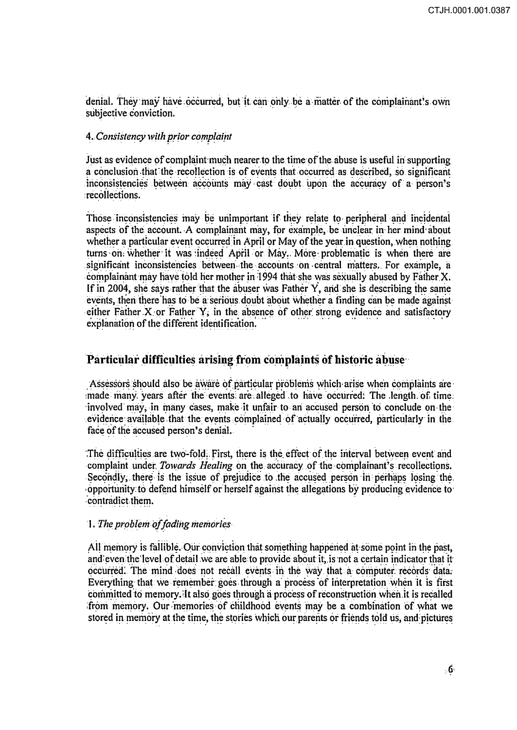denial. They may have occurred, but it can only be a matter of the complainant's own subjective conviction.

### 4. Consistency with prior complaint

Just as evidence of complaint much nearer to the time of the abuse is useful in supporting a conclusion that the recollection is of events that occurred as described, so significant inconsistencies between accounts may cast doubt upon the accuracy of a person's recollections.

Those inconsistencies may be unimportant if they relate to peripheral and incidental aspects of the account. A complainant may, for example, be unclear in her mind about whether a particular event occurred in April or May of the year in question, when nothing turns on whether it was indeed April or May. More problematic is when there are significant inconsistencies between the accounts on central matters. For example, a complainant may have told her mother in 1994 that she was sexually abused by Father X. If in 2004, she says rather that the abuser was Father Y, and she is describing the same events, then there has to be a serious doubt about whether a finding can be made against either Father X or Father Y, in the absence of other strong evidence and satisfactory explanation of the different identification.

### Particular difficulties arising from complaints of historic abuse

Assessors should also be aware of particular problems which arise when complaints are made many years after the events are alleged to have occurred. The length of time. involved may, in many cases, make it unfair to an accused person to conclude on the evidence available that the events complained of actually occurred, particularly in the face of the accused person's denial.

The difficulties are two-fold. First, there is the effect of the interval between event and complaint under Towards Healing on the accuracy of the complainant's recollections. Secondly, there is the issue of prejudice to the accused person in perhaps losing the opportunity to defend himself or herself against the allegations by producing evidence to contradict them.

#### 1. The problem of fading memories

All memory is fallible. Our conviction that something happened at some point in the past, and even the level of detail we are able to provide about it, is not a certain indicator that it occurred. The mind does not recall events in the way that a computer records data. Everything that we remember goes through a process of interpretation when it is first committed to memory. It also goes through a process of reconstruction when it is recalled from memory. Our memories of childhood events may be a combination of what we stored in memory at the time, the stories which our parents or friends told us, and pictures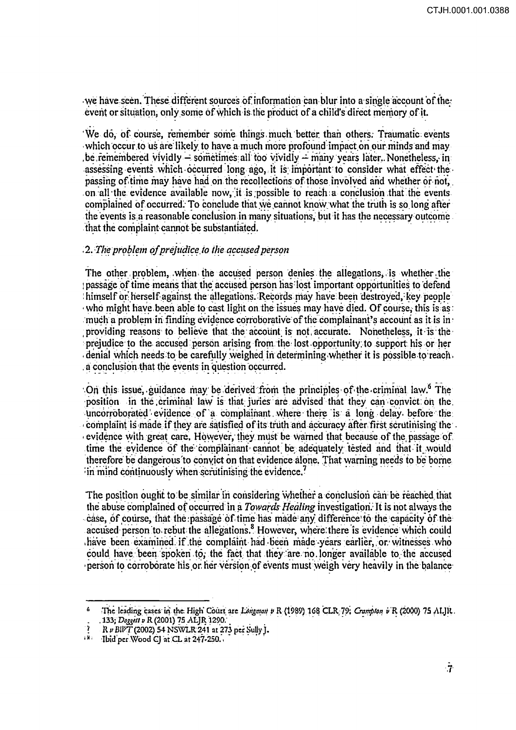we have seen. These different sources of information can blur into a single account of the. event or situation, only some of which is the product of a child's direct memory of it.

'We do, of course, remember some things much better than others. Traumatic events which occur to us are likely to have a much more profound impact on our minds and may be remembered vividly – sometimes all too vividly – many years later. Nonetheless, in assessing events which occurred long ago, it is important to consider what effect the passing of time may have had on the recollections of those involved and whether or not, on all the evidence available now, it is possible to reach a conclusion that the events complained of occurred. To conclude that we cannot know what the truth is so long after the events is a reasonable conclusion in many situations, but it has the necessary outcome that the complaint cannot be substantiated.

### .2. The problem of prejudice to the accused person

The other problem, when the accused person denies the allegations, is whether the passage of time means that the accused person has lost important opportunities to defend himself or herself against the allegations. Records may have been destroyed, key people who might have been able to cast light on the issues may have died. Of course, this is as: much a problem in finding evidence corroborative of the complainant's account as it is in providing reasons to believe that the account is not accurate. Nonetheless, it is the prejudice to the accused person arising from the lost opportunity to support his or her denial which needs to be carefully weighed in determining whether it is possible to reach. a conclusion that the events in question occurred.

On this issue, guidance may be derived from the principles of the criminal law.<sup>6</sup> The position in the criminal law is that juries are advised that they can convict on the uncorroborated evidence of a complainant where there is a long delay before the complaint is made if they are satisfied of its truth and accuracy after first scrutinising the evidence with great care, However, they must be warned that because of the passage of time the evidence of the complainant cannot be adequately tested and that it would therefore be dangerous to convict on that evidence alone. That warning needs to be borne in mind continuously when scrutinising the evidence.<sup>7</sup>

The position ought to be similar in considering whether a conclusion can be reached that the abuse complained of occurred in a Towards Healing investigation. It is not always the case, of course, that the passage of time has made any difference to the capacity of the accused person to rebut the allegations.<sup>8</sup> However, where there is evidence which could have been examined if the complaint had been made years earlier, or witnesses who could have been spoken to, the fact that they are no longer available to the accused person to corroborate his or her version of events must weigh very heavily in the balance

The leading cases in the High Court are Longman v R (1989) 168 CLR 79, Crampton v R (2000) 75 ALJR. . 133; Doggett v R (2001) 75 ALJR 1290.

R v BlVT (2002) 54 NSWLR 241 at 273 per Sully J.

a Ma Ibid'per Wood CJ at CL at 247-250.